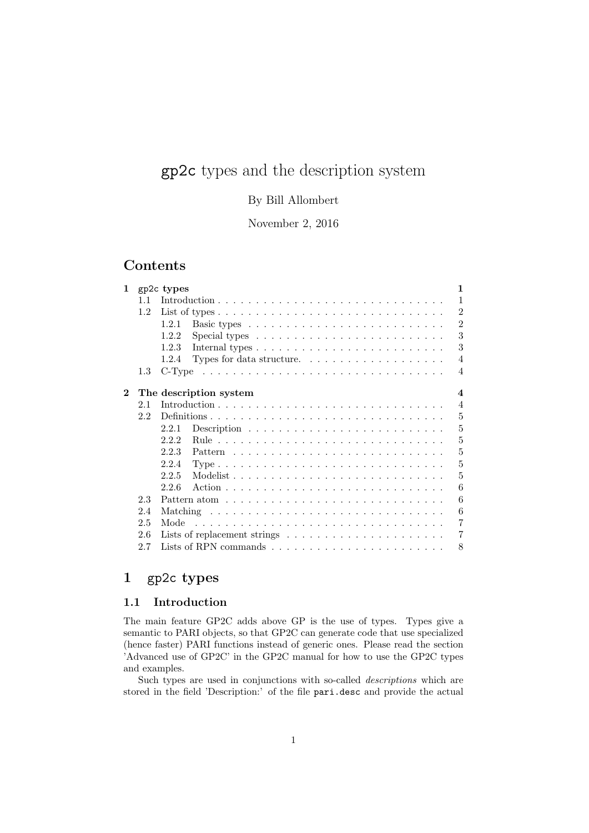# gp2c types and the description system

# By Bill Allombert

November 2, 2016

# Contents

| 1        |     | $\mathbf{1}$<br>gp2c types                                                                 |  |
|----------|-----|--------------------------------------------------------------------------------------------|--|
|          | 11  | $\mathbf{1}$                                                                               |  |
|          | 1.2 | $\overline{2}$                                                                             |  |
|          |     | $\overline{2}$<br>1.2.1                                                                    |  |
|          |     | 3<br>1.2.2<br>Special types $\ldots \ldots \ldots \ldots \ldots \ldots \ldots \ldots$      |  |
|          |     | 3<br>1.2.3                                                                                 |  |
|          |     | $\overline{4}$<br>1.2.4<br>Types for data structure. $\dots \dots \dots \dots \dots \dots$ |  |
|          | 1.3 | $\overline{4}$                                                                             |  |
| $\bf{2}$ |     | $\overline{\mathbf{4}}$<br>The description system                                          |  |
|          | 2.1 | $\overline{4}$                                                                             |  |
|          | 2.2 | 5                                                                                          |  |
|          |     | 5<br>2.2.1                                                                                 |  |
|          |     | 5<br>2.2.2                                                                                 |  |
|          |     | 5<br>2.2.3                                                                                 |  |
|          |     | 5<br>2.2.4                                                                                 |  |
|          |     | 2.2.5<br>5                                                                                 |  |
|          |     | 6<br>2.2.6                                                                                 |  |
|          | 2.3 | 6                                                                                          |  |
|          | 2.4 | 6                                                                                          |  |
|          | 2.5 | 7<br>Mode                                                                                  |  |
|          | 2.6 | $\overline{7}$                                                                             |  |
|          | 2.7 | 8                                                                                          |  |
|          |     |                                                                                            |  |

# 1 gp2c types

# 1.1 Introduction

The main feature GP2C adds above GP is the use of types. Types give a semantic to PARI objects, so that GP2C can generate code that use specialized (hence faster) PARI functions instead of generic ones. Please read the section 'Advanced use of GP2C' in the GP2C manual for how to use the GP2C types and examples.

Such types are used in conjunctions with so-called descriptions which are stored in the field 'Description:' of the file pari.desc and provide the actual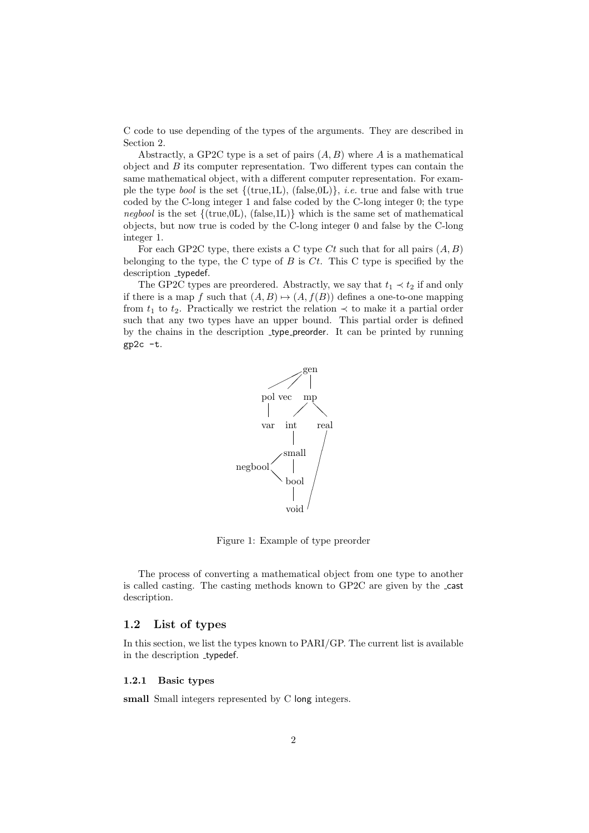C code to use depending of the types of the arguments. They are described in Section 2.

Abstractly, a GP2C type is a set of pairs  $(A, B)$  where A is a mathematical object and  $B$  its computer representation. Two different types can contain the same mathematical object, with a different computer representation. For example the type *bool* is the set  $\{(\text{true},1L), (\text{false},0L)\}, i.e.$  true and false with true coded by the C-long integer 1 and false coded by the C-long integer 0; the type negbool is the set  $\{(\text{true},0L), (\text{false},1L)\}\$  which is the same set of mathematical objects, but now true is coded by the C-long integer 0 and false by the C-long integer 1.

For each GP2C type, there exists a C type Ct such that for all pairs  $(A, B)$ belonging to the type, the C type of B is  $C_t$ . This C type is specified by the description \_typedef.

The GP2C types are preordered. Abstractly, we say that  $t_1 \prec t_2$  if and only if there is a map f such that  $(A, B) \mapsto (A, f(B))$  defines a one-to-one mapping from  $t_1$  to  $t_2$ . Practically we restrict the relation  $\prec$  to make it a partial order such that any two types have an upper bound. This partial order is defined by the chains in the description type preorder. It can be printed by running gp2c -t.



Figure 1: Example of type preorder

The process of converting a mathematical object from one type to another is called casting. The casting methods known to GP2C are given by the cast description.

### 1.2 List of types

In this section, we list the types known to PARI/GP. The current list is available in the description \_typedef.

#### 1.2.1 Basic types

small Small integers represented by C long integers.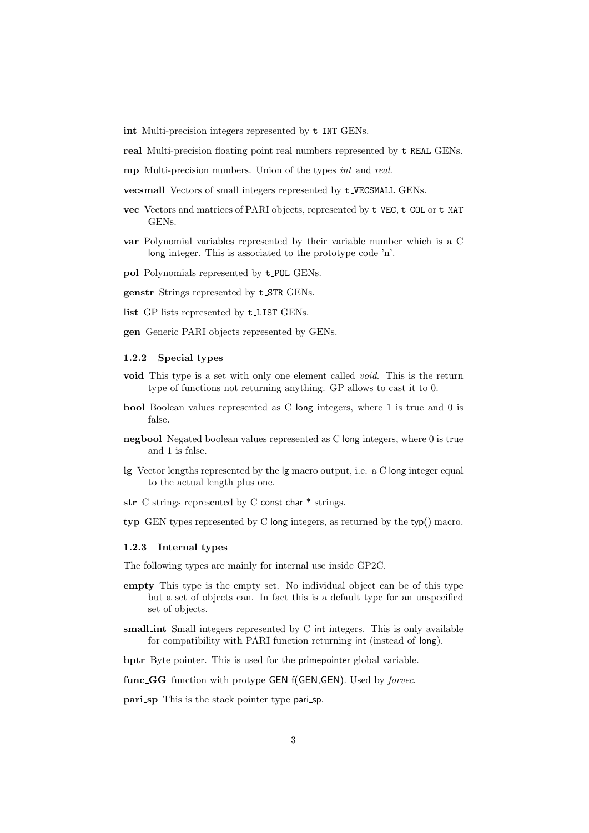int Multi-precision integers represented by  $t$ <sub>-INT</sub> GENs.

real Multi-precision floating point real numbers represented by t REAL GENs.

mp Multi-precision numbers. Union of the types int and real.

vecsmall Vectors of small integers represented by t VECSMALL GENs.

- vec Vectors and matrices of PARI objects, represented by t VEC, t COL or t MAT GENs.
- var Polynomial variables represented by their variable number which is a C long integer. This is associated to the prototype code 'n'.
- pol Polynomials represented by t POL GENs.
- genstr Strings represented by t STR GENs.
- list GP lists represented by t LIST GENs.

gen Generic PARI objects represented by GENs.

#### 1.2.2 Special types

- void This type is a set with only one element called void. This is the return type of functions not returning anything. GP allows to cast it to 0.
- bool Boolean values represented as C long integers, where 1 is true and 0 is false.
- negbool Negated boolean values represented as C long integers, where 0 is true and 1 is false.
- lg Vector lengths represented by the lg macro output, i.e. a C long integer equal to the actual length plus one.
- str  $C$  strings represented by  $C$  const char  $*$  strings.
- typ GEN types represented by C long integers, as returned by the typ() macro.

#### 1.2.3 Internal types

The following types are mainly for internal use inside GP2C.

- empty This type is the empty set. No individual object can be of this type but a set of objects can. In fact this is a default type for an unspecified set of objects.
- small int Small integers represented by C int integers. This is only available for compatibility with PARI function returning int (instead of long).

bptr Byte pointer. This is used for the primepointer global variable.

func\_GG function with protype GEN f(GEN,GEN). Used by *forvec*.

pari\_sp This is the stack pointer type pari\_sp.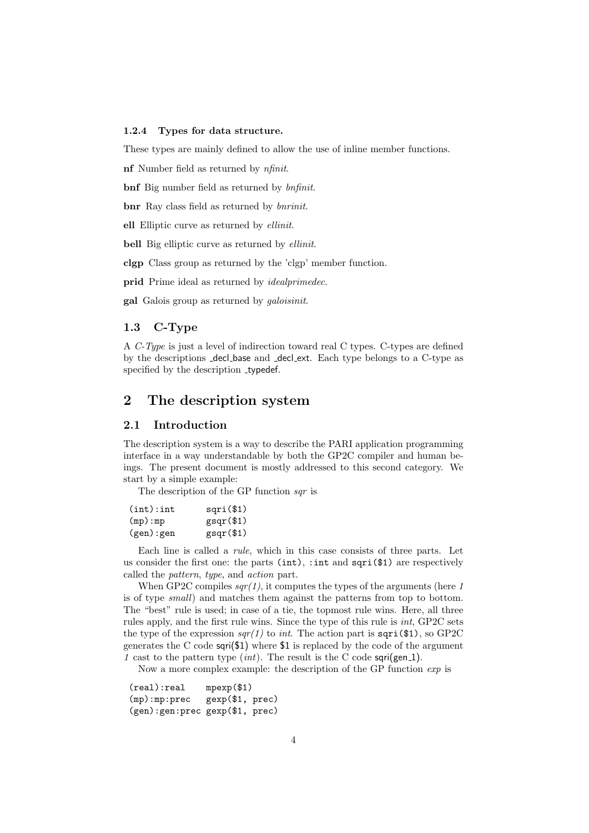#### 1.2.4 Types for data structure.

These types are mainly defined to allow the use of inline member functions.

nf Number field as returned by nfinit.

bnf Big number field as returned by bnfinit.

bnr Ray class field as returned by *bnrinit*.

ell Elliptic curve as returned by ellinit.

bell Big elliptic curve as returned by *ellinit*.

clgp Class group as returned by the 'clgp' member function.

prid Prime ideal as returned by *idealprimedec*.

gal Galois group as returned by galoisinit.

# 1.3 C-Type

A C-Type is just a level of indirection toward real C types. C-types are defined by the descriptions decl base and decl ext. Each type belongs to a C-type as specified by the description \_typedef.

# 2 The description system

#### 2.1 Introduction

The description system is a way to describe the PARI application programming interface in a way understandable by both the GP2C compiler and human beings. The present document is mostly addressed to this second category. We start by a simple example:

The description of the GP function sqr is

| (int): int | $sqri$ (\$1) |
|------------|--------------|
| (mp):mp    | gsqr(\$1)    |
| (gen):gen  | gggr(\$1)    |

Each line is called a rule, which in this case consists of three parts. Let us consider the first one: the parts (int), :int and sqri(\$1) are respectively called the pattern, type, and action part.

When GP2C compiles  $\frac{sqr(1)}{s}$ , it computes the types of the arguments (here 1 is of type small) and matches them against the patterns from top to bottom. The "best" rule is used; in case of a tie, the topmost rule wins. Here, all three rules apply, and the first rule wins. Since the type of this rule is int, GP2C sets the type of the expression  $\frac{sqrt(1)}{1}$  to *int*. The action part is  $\frac{sqrt(1)}{1}$ , so GP2C generates the C code sqri(\$1) where \$1 is replaced by the code of the argument 1 cast to the pattern type  $(int)$ . The result is the C code sqri(gen\_1).

Now a more complex example: the description of the GP function  $\exp$  is

(real):real mpexp(\$1) (mp):mp:prec gexp(\$1, prec) (gen):gen:prec gexp(\$1, prec)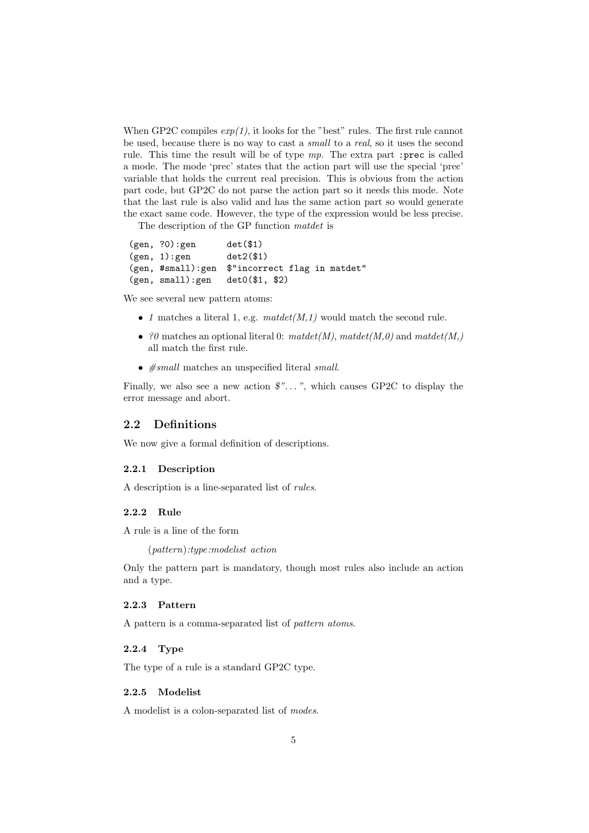When GP2C compiles  $exp(1)$ , it looks for the "best" rules. The first rule cannot be used, because there is no way to cast a small to a real, so it uses the second rule. This time the result will be of type  $mp$ . The extra part :prec is called a mode. The mode 'prec' states that the action part will use the special 'prec' variable that holds the current real precision. This is obvious from the action part code, but GP2C do not parse the action part so it needs this mode. Note that the last rule is also valid and has the same action part so would generate the exact same code. However, the type of the expression would be less precise.

The description of the GP function matdet is

(gen, ?0):gen det(\$1)  $(gen, 1):gen$  det $2($1)$ (gen, #small):gen \$"incorrect flag in matdet" (gen, small):gen det0(\$1, \$2)

We see several new pattern atoms:

- 1 matches a literal 1, e.g.  $mated(M,1)$  would match the second rule.
- ?0 matches an optional literal 0:  $mated(M), mated(t(M),0)$  and  $mated(t(M))$ all match the first rule.
- $\bullet$   $\#small$  matches an unspecified literal  $small.$

Finally, we also see a new action  $\mathcal{F}$ ...", which causes GP2C to display the error message and abort.

#### 2.2 Definitions

We now give a formal definition of descriptions.

#### 2.2.1 Description

A description is a line-separated list of rules.

#### 2.2.2 Rule

A rule is a line of the form

(pattern):type:modelist action

Only the pattern part is mandatory, though most rules also include an action and a type.

#### 2.2.3 Pattern

A pattern is a comma-separated list of pattern atoms.

#### 2.2.4 Type

The type of a rule is a standard GP2C type.

#### 2.2.5 Modelist

A modelist is a colon-separated list of modes.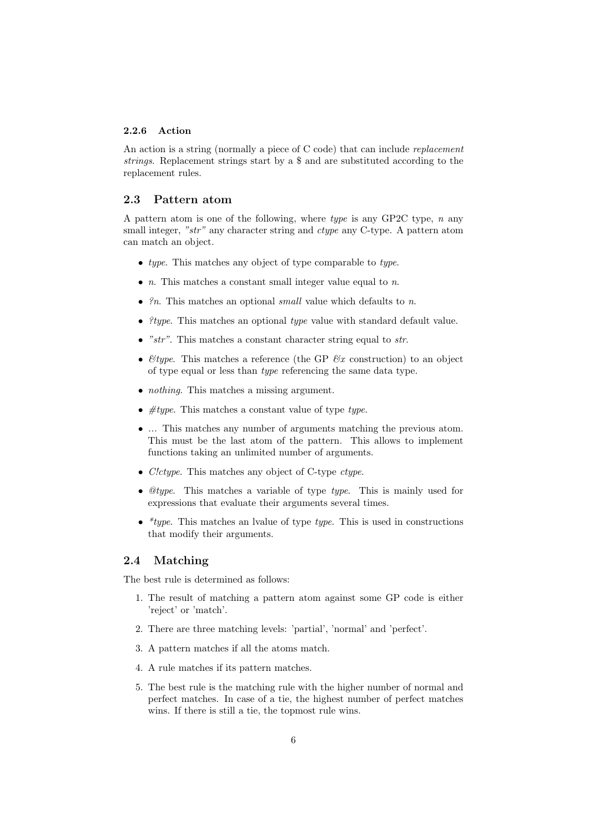#### 2.2.6 Action

An action is a string (normally a piece of C code) that can include *replacement* strings. Replacement strings start by a \$ and are substituted according to the replacement rules.

# 2.3 Pattern atom

A pattern atom is one of the following, where type is any GP2C type,  $n$  any small integer, "str" any character string and *ctype* any C-type. A pattern atom can match an object.

- type. This matches any object of type comparable to type.
- $n$ . This matches a constant small integer value equal to  $n$ .
- $\mathscr{C}_n$ . This matches an optional small value which defaults to n.
- *itype.* This matches an optional *type* value with standard default value.
- " $str$ ". This matches a constant character string equal to  $str$ .
- $\mathcal{E}$ type. This matches a reference (the GP  $\mathcal{E}x$  construction) to an object of type equal or less than type referencing the same data type.
- *nothing*. This matches a missing argument.
- $\#type$ . This matches a constant value of type type.
- ... This matches any number of arguments matching the previous atom. This must be the last atom of the pattern. This allows to implement functions taking an unlimited number of arguments.
- *C!ctype*. This matches any object of C-type *ctype*.
- $@type$ . This matches a variable of type type. This is mainly used for expressions that evaluate their arguments several times.
- \**type*. This matches an lvalue of type *type*. This is used in constructions that modify their arguments.

### 2.4 Matching

The best rule is determined as follows:

- 1. The result of matching a pattern atom against some GP code is either 'reject' or 'match'.
- 2. There are three matching levels: 'partial', 'normal' and 'perfect'.
- 3. A pattern matches if all the atoms match.
- 4. A rule matches if its pattern matches.
- 5. The best rule is the matching rule with the higher number of normal and perfect matches. In case of a tie, the highest number of perfect matches wins. If there is still a tie, the topmost rule wins.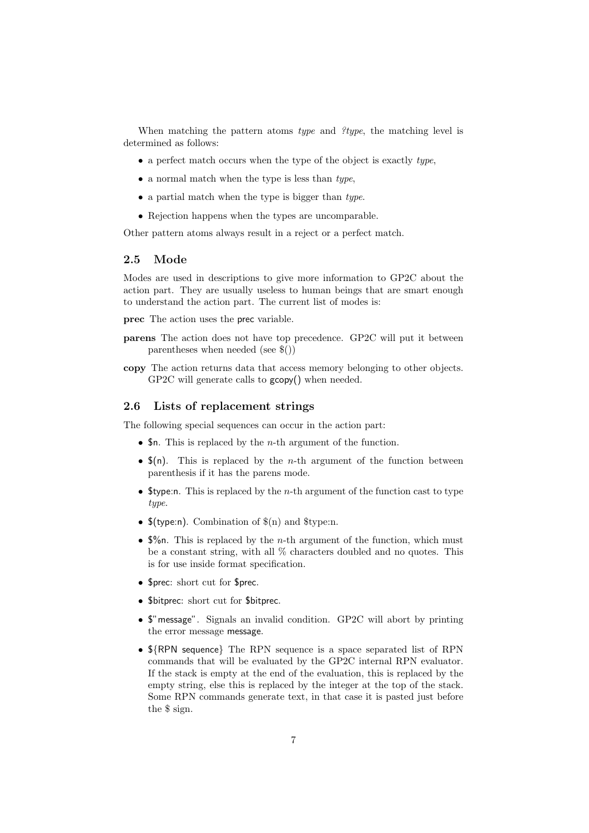When matching the pattern atoms type and  $?type$ , the matching level is determined as follows:

- a perfect match occurs when the type of the object is exactly type,
- a normal match when the type is less than  $type$ ,
- a partial match when the type is bigger than type.
- Rejection happens when the types are uncomparable.

Other pattern atoms always result in a reject or a perfect match.

# 2.5 Mode

Modes are used in descriptions to give more information to GP2C about the action part. They are usually useless to human beings that are smart enough to understand the action part. The current list of modes is:

prec The action uses the prec variable.

- parens The action does not have top precedence. GP2C will put it between parentheses when needed (see \$())
- copy The action returns data that access memory belonging to other objects. GP2C will generate calls to gcopy() when needed.

## 2.6 Lists of replacement strings

The following special sequences can occur in the action part:

- $\bullet$  \$n. This is replaced by the *n*-th argument of the function.
- $\mathfrak{F}(n)$ . This is replaced by the *n*-th argument of the function between parenthesis if it has the parens mode.
- **\$type:n.** This is replaced by the *n*-th argument of the function cast to type type.
- $$(type:n)$ . Combination of  $$(n)$  and  $$(type:n)$ .
- $\sqrt[6]{n}$ . This is replaced by the *n*-th argument of the function, which must be a constant string, with all  $\%$  characters doubled and no quotes. This is for use inside format specification.
- \$prec: short cut for \$prec.
- \$bitprec: short cut for \$bitprec.
- \$"message". Signals an invalid condition. GP2C will abort by printing the error message message.
- \${RPN sequence} The RPN sequence is a space separated list of RPN commands that will be evaluated by the GP2C internal RPN evaluator. If the stack is empty at the end of the evaluation, this is replaced by the empty string, else this is replaced by the integer at the top of the stack. Some RPN commands generate text, in that case it is pasted just before the \$ sign.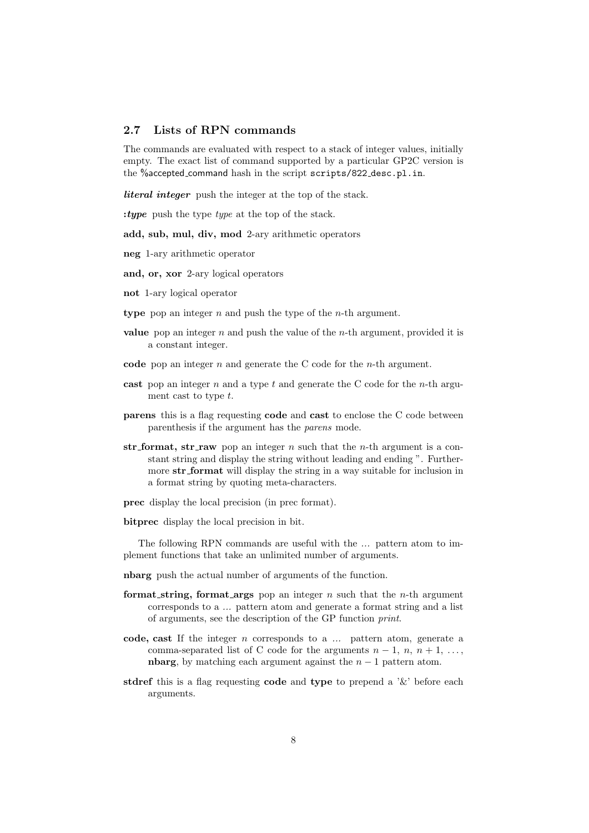### 2.7 Lists of RPN commands

The commands are evaluated with respect to a stack of integer values, initially empty. The exact list of command supported by a particular GP2C version is the %accepted\_command hash in the script scripts/822\_desc.pl.in.

*literal integer* push the integer at the top of the stack.

: tupe push the type type at the top of the stack.

add, sub, mul, div, mod 2-ary arithmetic operators

neg 1-ary arithmetic operator

and, or, xor 2-ary logical operators

not 1-ary logical operator

type pop an integer  $n$  and push the type of the  $n$ -th argument.

- value pop an integer n and push the value of the n-th argument, provided it is a constant integer.
- code pop an integer  $n$  and generate the C code for the  $n$ -th argument.
- cast pop an integer  $n$  and a type  $t$  and generate the C code for the  $n$ -th argument cast to type t.
- parens this is a flag requesting code and cast to enclose the C code between parenthesis if the argument has the parens mode.
- str format, str raw pop an integer  $n$  such that the *n*-th argument is a constant string and display the string without leading and ending ". Furthermore str format will display the string in a way suitable for inclusion in a format string by quoting meta-characters.

prec display the local precision (in prec format).

bitprec display the local precision in bit.

The following RPN commands are useful with the ... pattern atom to implement functions that take an unlimited number of arguments.

- nbarg push the actual number of arguments of the function.
- format string, format args pop an integer  $n$  such that the  $n$ -th argument corresponds to a ... pattern atom and generate a format string and a list of arguments, see the description of the GP function print.
- code, cast If the integer  $n$  corresponds to a  $\ldots$  pattern atom, generate a comma-separated list of C code for the arguments  $n-1, n, n+1, \ldots$ , nbarg, by matching each argument against the  $n - 1$  pattern atom.
- stdref this is a flag requesting code and type to prepend a  $\&$  before each arguments.